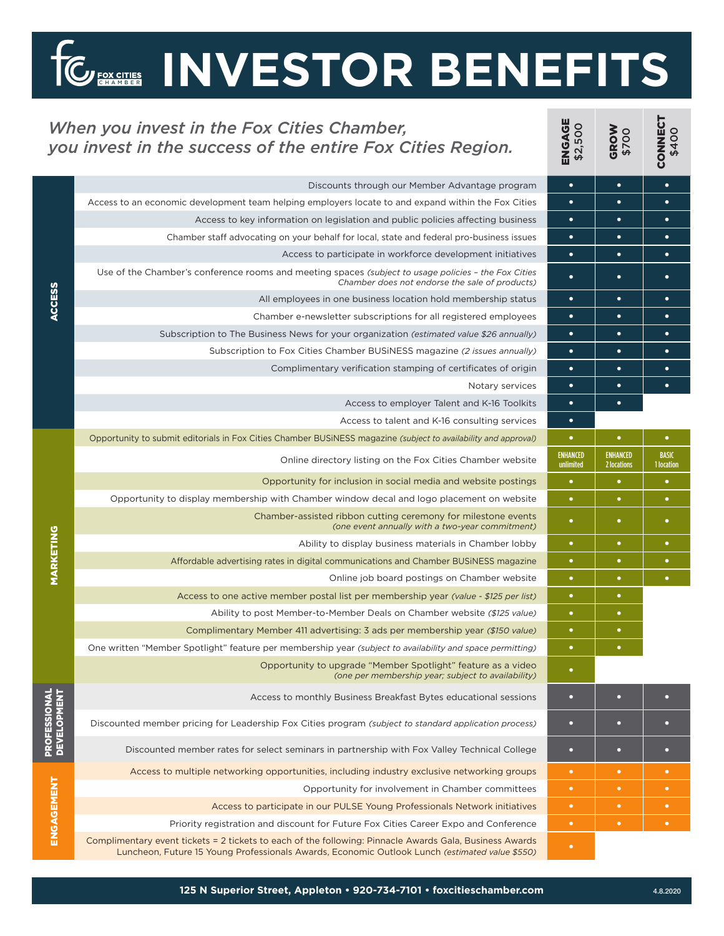## **INVESTOR BENEFITS**

**NNECT**<br>\$400

## *When you invest in the Fox Cities Chamber, you invest in the success of the entire Fox Cities Region.*

**FOX CITIES** 

| When you invest in the Fox Cities Chamber,<br>you invest in the success of the entire Fox Cities Region. |                                                                                                                                                                                                           | <b>ENGAGE</b><br>\$2,500     | GROW<br>\$700                  | <b>CONNECT</b><br>\$400    |
|----------------------------------------------------------------------------------------------------------|-----------------------------------------------------------------------------------------------------------------------------------------------------------------------------------------------------------|------------------------------|--------------------------------|----------------------------|
| <b>ACCESS</b>                                                                                            | Discounts through our Member Advantage program                                                                                                                                                            | $\bullet$                    | $\bullet$                      | $\bullet$                  |
|                                                                                                          | Access to an economic development team helping employers locate to and expand within the Fox Cities                                                                                                       | $\bullet$                    | $\bullet$                      | $\bullet$                  |
|                                                                                                          | Access to key information on legislation and public policies affecting business                                                                                                                           | $\bullet$                    | $\bullet$                      | ٠                          |
|                                                                                                          | Chamber staff advocating on your behalf for local, state and federal pro-business issues                                                                                                                  | $\bullet$                    | $\bullet$                      | $\bullet$                  |
|                                                                                                          | Access to participate in workforce development initiatives                                                                                                                                                | $\bullet$                    | ٠                              | ٠                          |
|                                                                                                          | Use of the Chamber's conference rooms and meeting spaces (subject to usage policies - the Fox Cities<br>Chamber does not endorse the sale of products)                                                    | $\bullet$                    | $\bullet$                      | $\bullet$                  |
|                                                                                                          | All employees in one business location hold membership status                                                                                                                                             | $\bullet$                    | ٠                              | $\bullet$                  |
|                                                                                                          | Chamber e-newsletter subscriptions for all registered employees                                                                                                                                           | $\bullet$                    | ٠                              | $\bullet$                  |
|                                                                                                          | Subscription to The Business News for your organization (estimated value \$26 annually)                                                                                                                   | $\bullet$                    | $\bullet$                      | $\bullet$                  |
|                                                                                                          | Subscription to Fox Cities Chamber BUSiNESS magazine (2 issues annually)                                                                                                                                  | $\bullet$                    | $\bullet$                      | $\bullet$                  |
|                                                                                                          | Complimentary verification stamping of certificates of origin                                                                                                                                             | $\bullet$                    | $\bullet$                      | $\bullet$                  |
|                                                                                                          | Notary services                                                                                                                                                                                           | $\bullet$                    | $\bullet$                      | $\bullet$                  |
|                                                                                                          | Access to employer Talent and K-16 Toolkits                                                                                                                                                               | $\bullet$                    | $\bullet$                      |                            |
|                                                                                                          | Access to talent and K-16 consulting services                                                                                                                                                             | $\bullet$                    |                                |                            |
| <b>MARKETING</b>                                                                                         | Opportunity to submit editorials in Fox Cities Chamber BUSINESS magazine (subject to availability and approval)                                                                                           | $\bullet$                    | $\bullet$                      | $\bullet$                  |
|                                                                                                          | Online directory listing on the Fox Cities Chamber website                                                                                                                                                | <b>ENHANCED</b><br>unlimited | <b>ENHANCED</b><br>2 locations | <b>BASIC</b><br>1 location |
|                                                                                                          | Opportunity for inclusion in social media and website postings                                                                                                                                            | $\bullet$                    | ٠                              | ٠                          |
|                                                                                                          | Opportunity to display membership with Chamber window decal and logo placement on website                                                                                                                 | $\bullet$                    | ٠                              | ٠                          |
|                                                                                                          | Chamber-assisted ribbon cutting ceremony for milestone events<br>(one event annually with a two-year commitment)                                                                                          | $\bullet$                    | ◆                              | ٠                          |
|                                                                                                          | Ability to display business materials in Chamber lobby                                                                                                                                                    | $\bullet$                    | ٠                              | ٠                          |
|                                                                                                          | Affordable advertising rates in digital communications and Chamber BUSINESS magazine                                                                                                                      | $\bullet$                    |                                | ٠                          |
|                                                                                                          | Online job board postings on Chamber website                                                                                                                                                              | $\bullet$                    | ٠                              | ٠                          |
|                                                                                                          | Access to one active member postal list per membership year (value - \$125 per list)                                                                                                                      | $\bullet$                    | ٠                              |                            |
|                                                                                                          | Ability to post Member-to-Member Deals on Chamber website (\$125 value)                                                                                                                                   | $\bullet$                    | $\bullet$                      |                            |
|                                                                                                          | Complimentary Member 411 advertising: 3 ads per membership year (\$150 value)                                                                                                                             | $\bullet$                    | ٠                              |                            |
|                                                                                                          | One written "Member Spotlight" feature per membership year (subject to availability and space permitting)                                                                                                 |                              |                                |                            |
|                                                                                                          | Opportunity to upgrade "Member Spotlight" feature as a video<br>(one per membership year; subject to availability)                                                                                        | $\bullet$                    |                                |                            |
| <b>PROFESSIONAL<br/>DEVELOPMENT</b>                                                                      | Access to monthly Business Breakfast Bytes educational sessions                                                                                                                                           | $\bullet$                    | $\overline{\phantom{a}}$       | n                          |
|                                                                                                          | Discounted member pricing for Leadership Fox Cities program (subject to standard application process)                                                                                                     | $\bullet$                    | о                              | n                          |
|                                                                                                          | Discounted member rates for select seminars in partnership with Fox Valley Technical College                                                                                                              | o                            | o                              | O                          |
| ENGAGEMENT                                                                                               | Access to multiple networking opportunities, including industry exclusive networking groups                                                                                                               | $\bullet$                    | $\bullet$                      | $\bullet$                  |
|                                                                                                          | Opportunity for involvement in Chamber committees                                                                                                                                                         | $\bullet$                    | $\bullet$                      | $\bullet$                  |
|                                                                                                          | Access to participate in our PULSE Young Professionals Network initiatives                                                                                                                                | $\bullet$                    | $\bullet$                      | ٠                          |
|                                                                                                          | Priority registration and discount for Future Fox Cities Career Expo and Conference                                                                                                                       | $\bullet$                    | ٠                              | $\bullet$                  |
|                                                                                                          | Complimentary event tickets = 2 tickets to each of the following: Pinnacle Awards Gala, Business Awards<br>Luncheon, Future 15 Young Professionals Awards, Economic Outlook Lunch (estimated value \$550) | $\bullet$                    |                                |                            |